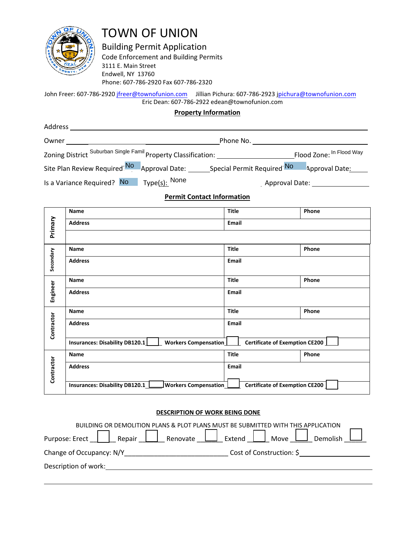

TOWN OF UNION

Building Permit Application

Code Enforcement and Building Permits 3111 E. Main Street Endwell, NY 13760 Phone: 607-786-2920 Fax 607-786-2320

John Freer: 607-786-2920 jfreer@townofunion.com Jillian Pichura: 607-786-2923 jpichura@townofunion.com Eric Dean: 607-786-2922 edean@townofunion.com

### **Property Information**

| Address                                                        |               |                                                         |                          |
|----------------------------------------------------------------|---------------|---------------------------------------------------------|--------------------------|
| Owner                                                          |               | Phone No.                                               |                          |
| Zoning District Suburban Single Famil Property Classification: |               |                                                         | Flood Zone: In Flood Way |
| Site Plan Review Required <sup>No</sup>                        |               | Approval Date: ______________Special Permit Required No | Approval Date:           |
| Is a Variance Required? No                                     | Type(s): None | Approval Date:                                          |                          |

## **Permit Contact Information**

|                                                                                        | <b>Name</b>                                           | <b>Title</b>                          | Phone |  |  |
|----------------------------------------------------------------------------------------|-------------------------------------------------------|---------------------------------------|-------|--|--|
| Primary                                                                                | <b>Address</b>                                        | Email                                 |       |  |  |
|                                                                                        |                                                       |                                       |       |  |  |
|                                                                                        | <b>Name</b>                                           | <b>Title</b>                          | Phone |  |  |
| Secondary                                                                              | <b>Address</b>                                        | <b>Email</b>                          |       |  |  |
|                                                                                        | Name                                                  | <b>Title</b>                          | Phone |  |  |
| Engineer                                                                               | <b>Address</b>                                        | Email                                 |       |  |  |
|                                                                                        | <b>Name</b>                                           | <b>Title</b>                          | Phone |  |  |
| Contractor                                                                             | <b>Address</b>                                        | Email                                 |       |  |  |
|                                                                                        | Insurances: Disability DB120.1   Workers Compensation | <b>Certificate of Exemption CE200</b> |       |  |  |
|                                                                                        | <b>Name</b>                                           | <b>Title</b>                          | Phone |  |  |
| Contractor                                                                             | <b>Address</b>                                        | <b>Email</b>                          |       |  |  |
| Insurances: Disability DB120.1   Workers Compensation   Certificate of Exemption CE200 |                                                       |                                       |       |  |  |
| <b>DESCRIPTION OF WORK BEING DONE</b>                                                  |                                                       |                                       |       |  |  |
| BUILDING OR DEMOLITION PLANS & PLOT PLANS MUST BE SUBMITTED WITH THIS APPLICATION      |                                                       |                                       |       |  |  |
| Purpose: Erect   Repair   Renovate   Stend   Move L Demolish                           |                                                       |                                       |       |  |  |
|                                                                                        |                                                       |                                       |       |  |  |
|                                                                                        | Description of work:                                  |                                       |       |  |  |

#### **DESCRIPTION OF WORK BEING DONE**

| BUILDING OR DEMOLITION PLANS & PLOT PLANS MUST BE SUBMITTED WITH THIS APPLICATION |                          |  |  |  |  |
|-----------------------------------------------------------------------------------|--------------------------|--|--|--|--|
| Repair     Renovate     Extend     Move    <br>Purpose: Erect                     | Demolish                 |  |  |  |  |
| Change of Occupancy: N/Y                                                          | Cost of Construction: \$ |  |  |  |  |
| Description of work:                                                              |                          |  |  |  |  |
|                                                                                   |                          |  |  |  |  |